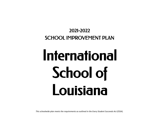# 2021-2022 SCHOOL IMPROVEMENT PLAN

# International School of Louisiana

*This schoolwide plan meets the requirements as outlined in the Every Student Succeeds Act (ESSA).*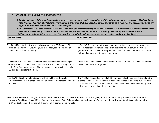# **1. COMPREHENSIVE NEEDS ASSESSMENT**

- Provide outcomes of the school's comprehensive needs assessment, as well as a description of the data sources used in the process. Findings should include detailed analysis of all student subgroups; an examination of student, teacher, school, and community strengths and needs; and a summary *of priorities that will be addressed in the schoolwide plan.*
- The Comprehensive Needs Assessment will be used to develop a comprehensive plan for the entire school that takes into account information on the academic achievement of children in relation to challenging State academic standards, particularly the needs of those children who are failing, or are at-risk of failing, to meet the State academic standards and any other factors as determined by the school and District.

| <b>STRENGTHS</b>                                                                                                                                                                                                                                                        | <b>WEAKNESSES</b>                                                                                                                                                                                                                                                                                         |
|-------------------------------------------------------------------------------------------------------------------------------------------------------------------------------------------------------------------------------------------------------------------------|-----------------------------------------------------------------------------------------------------------------------------------------------------------------------------------------------------------------------------------------------------------------------------------------------------------|
| The 2019 LEAP Student Growth to Mastery Index was 95.3 points. ISL<br>received an A rating for Growth. (2018 is the first year schools had this<br>index score available to them.).                                                                                     | ISL's LEAP Assessment Index scores have declined over the past two years; that<br>said, our scores have remained relatively the same without much movement<br>(difference). A focus on improving student scores should increase our Assessment<br>Index and demonstrate forward momentum.                 |
| The overall ELA LEAP 2025 Assessment Index has remained our strongest<br>content area. ISL students are always in the top 10 highest scoring schools<br>in the New Orleans metro area. The list includes highly selective schools;<br>ISL is an open enrollment school. | Areas of weakness have been our grade 3-5 Social Studies LEAP 2025 Assessment<br>Index as well as Math in general.                                                                                                                                                                                        |
| ISL LEAP 2025 subgroup for students with disabilities continues to<br>outperform the State average - by 94%. ISL has been designated an Equity<br>Honoree.                                                                                                              | The % of SpEd students enrolled at ISL continues to lag behind the state and metro<br>average. The Enroll NOLA algorithm has been adjusted to prioritize students with<br>IEPs for admission into Kindergarten and First Grade. Teachers need training to be<br>able to meet the needs of these students. |

**DATA SOURCES:** School Demographic Information, DIBELS Trend Data, School Performance Scores (SPS), Assessment Index Comparison for Student Growth Purposes, Trend Data, ELA and Math Category/Subcategory Data, Subgroup Percent Proficiency, CRT Assessment Index, Dropout Credit Accumulation Index (DCAI), ANet benchmark testing, DELF scores, DELE scores, Discipline Data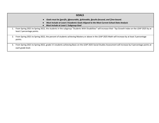| <b>GOALS</b>                                                                                                                                                                                                         |
|----------------------------------------------------------------------------------------------------------------------------------------------------------------------------------------------------------------------|
| Goals must be Specific, Measurable, Achievable, Results-focused, and Time-bound.<br>Must Include at Least 3 Academic Goals Aligned to the Most Current School Data Analysis<br>Must Include at Least 1 Subgroup Goal |
| From Spring 2021 to Spring 2022, the students in the subgroup "Students With Disabilities" will increase their Top Growth Index on the LEAP 2025 by at<br>least 2 percentage points.                                 |
| From Spring 2021 to Spring 2022, the percent of students achieving Mastery or above in the LEAP 2025 Math will increase by at least 3 percentage<br>2.<br>points.                                                    |
| From Spring 2021 to Spring 2022, grade 3-5 students achieving Basic on the LEAP 2025 Social Studies Assessment will increase by 4 percentage points at<br>3.<br>each grade level.                                    |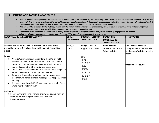# **2. PARENT AND FAMILY ENGAGEMENT**

- The SIP must be developed with the involvement of parents and other members of the community to be served, as well as individuals who will carry out the plan, including teachers, principals, other school leaders, paraprofessionals, and, if appropriate, specialized instructional support personnel, and school staff. If the plan relates to a secondary school, students may be included and other individuals determined by the school.
- The SIP shall be available to the District, parents, and the public, and information contained in the plan shall be in an understandable and uniform format *and, to the extent practicable, provided in a language that the parents can understand.*
- Each school must meet ESSA requirements, including the development and implementation of a parent and family engagement policy that *includes a school-parent compact outlining shared responsibility for high student academic achievement.*

| PARENT/FAMILY ENGAGEMENT ACTIVITY                                                                                                                                                                                                                                                                                                                                                                                                                                                                                                                                                                                                                                                                                                                                                                                                                                                                                        | <b>GOAL(S)</b><br><b>ADDRESSED</b> | <b>BUDGET(S) USED TO</b><br><b>SUPPORT ACTIVITY</b>                                                                                                                                            | <b>ITEMS TO BE</b>                                        | <b>EFFECTIVENESS</b>                                                                                                                           |
|--------------------------------------------------------------------------------------------------------------------------------------------------------------------------------------------------------------------------------------------------------------------------------------------------------------------------------------------------------------------------------------------------------------------------------------------------------------------------------------------------------------------------------------------------------------------------------------------------------------------------------------------------------------------------------------------------------------------------------------------------------------------------------------------------------------------------------------------------------------------------------------------------------------------------|------------------------------------|------------------------------------------------------------------------------------------------------------------------------------------------------------------------------------------------|-----------------------------------------------------------|------------------------------------------------------------------------------------------------------------------------------------------------|
|                                                                                                                                                                                                                                                                                                                                                                                                                                                                                                                                                                                                                                                                                                                                                                                                                                                                                                                          |                                    |                                                                                                                                                                                                | <b>PURCHASED TO</b><br><b>SUPPORT ACTIVITY</b>            |                                                                                                                                                |
| Describe how all parents will be involved in the design and<br>evaluation of the SIP (include the month that activity will take<br>place):<br>Design:<br>Website/Comment Feedback Button: The SIP plan will be<br>available on the International School of Louisiana website.<br>Parents and community members may offer input and/or<br>give feedback on the SIP plan via web-based form.<br>The SIP plan is available in the front office of each campus for<br>parents to review and offer input and feedback.<br>Coffee and Croissants (formalized family engagement<br>$\bullet$<br>meetings with administrators) meetings that happen 3 times<br>annually.<br>Due to the ongoing COVID-19 pandemic, some or all of these<br>events may be held virtually.<br>Evaluation:<br>• Parent Survey in Spring - Parents are invited to give input on<br>many issues including the school's SIP plan and<br>implementation. | Goal(s):<br> 1, 2, 3               | <b>Budgets</b> used to<br>support this activity:<br>$\boxtimes$ GFF<br>$\Box$ Title I<br>$\Box$ Title II<br>$\Box$ 8g<br>$\square$ IDEA<br>$\Box$ Title III<br>$\Box$ Title IV<br>$\Box$ Other | ltems Needed:<br>Copies of the SIP plan<br>School website | <b>Effectiveness Measure:</b><br>Family Survey; Parent/Family<br>Feedback on Website; Meeting<br><b>Notes</b><br><b>Effectiveness Results:</b> |
|                                                                                                                                                                                                                                                                                                                                                                                                                                                                                                                                                                                                                                                                                                                                                                                                                                                                                                                          |                                    |                                                                                                                                                                                                |                                                           |                                                                                                                                                |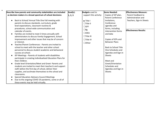| Describe how parents and community stakeholders are included      | Goal(s): | <b>Budgets</b> used to | litems Needed:                         | <b>Effectiveness Measure:</b> |
|-------------------------------------------------------------------|----------|------------------------|----------------------------------------|-------------------------------|
| as decision makers in a broad spectrum of school decisions:       | 1, 2, 3  | support this activity: | Copies of SIP plan,                    | Parent Feedback to            |
|                                                                   |          |                        | <b>Parent Conference</b>               | Administration and            |
| Back to School/ Annual Title One Fall meeting with                |          | $\blacksquare$ Title I | Invitations,                           | Teachers, Sign-In Sheets      |
| parents to discuss standards, curriculum, grade                   |          | $\Box$ Title II        | Conference                             |                               |
| level expectations, classroom routines &                          |          | $\Box$ GFF             | agendas and                            |                               |
| procedures, school wide communication and<br>calendar of events.  |          | $\Box$ 8g              | forms, including<br>intervention forms | <b>Effectiveness Results:</b> |
| Families are invited to meet 3 times annually with<br>$\bullet$   |          | $\square$ IDEA         | and data                               |                               |
| administrators to discuss Family Engagement, School               |          | $\Box$ Title III       |                                        |                               |
| Improvement and other issues that may be of concern               |          | $\Box$ Title IV        | Copies of IEPs and                     |                               |
| or interest.                                                      |          | □Other                 | <b>Behavior Plans</b>                  |                               |
| Teacher/Parent Conferences - Parents are invited to               |          |                        |                                        |                               |
| school to meet with the teacher and other school                  |          |                        | <b>Back to School Title</b>            |                               |
| personnel to discuss student academic and behavioral              |          |                        | One Schedules and                      |                               |
| success at school.                                                |          |                        | Agendas and Sign-in                    |                               |
| IEP Meetings - Parents of students with disabilities<br>$\bullet$ |          |                        | <b>Sheets</b>                          |                               |
| participate in creating Individualized Education Plans for        |          |                        |                                        |                               |
| their children.                                                   |          |                        | Meet and                               |                               |
| Grade level Orientation/Meet and Greet- Parents and               |          |                        | Greet/Orientation                      |                               |
| students are invited to meet their teacher/s and support          |          |                        | Schedules and                          |                               |
| staff, before the first day of school, deliver their              |          |                        | Agendas and Sign-in                    |                               |
| supplies, and acclimate themselves to the school and              |          |                        | <b>Sheets</b>                          |                               |
| classrooms.                                                       |          |                        |                                        |                               |
| <b>Special Education Advisory Council Meetings</b><br>$\bullet$   |          |                        |                                        |                               |
| Due to the ongoing COVID-19 pandemic, some or all of              |          |                        |                                        |                               |
| these events may be held virtually.                               |          |                        |                                        |                               |

 $\blacksquare$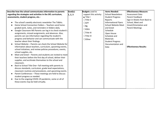| Describe how the school communicates information to parents                         | Goal(s): | <b>Budgets</b> used to | <b>Items Needed:</b>        | <b>Effectiveness Measure:</b> |
|-------------------------------------------------------------------------------------|----------|------------------------|-----------------------------|-------------------------------|
| regarding the strategies and activities in the SIP, curriculum,                     | 1, 2, 3  | support this activity: | <b>School Newsletters</b>   | Assessment Data               |
| assessments, student progress, etc.:                                                |          | $\blacksquare$ Title I | <b>Student Progress</b>     | Parent Feedback               |
|                                                                                     |          | $\Box$ Title II        | Reports                     | Sign-in Sheets from Back to   |
| The school's weekly electronic newsletter The Tidbits.                              |          | $\Box$ GFF             | <b>Informational Flyers</b> | School, Meet and              |
| Home School Connection Folders - Teachers send home                                 |          | $\Box$ 8g              | <b>School Website Meet</b>  | Greet/Orientation and         |
| graded work, notes, and reminders in folders daily.                                 |          | $\square$ IDEA         | and Greet                   | <b>Parent Meetings</b>        |
| Google Classroom MS Parents can log in to check student's<br>$\bullet$              |          |                        | Schedule                    |                               |
| assignments, missed assignments, and absences. Also,                                |          | $\Box$ Title III       | Open House                  |                               |
| parents can see information regarding the student's                                 |          | $\Box$ Title IV        | Schedule and                |                               |
| progress and behavior and can communicate with the                                  |          | $\Box$ Other           | Materials                   |                               |
| teacher about their findings.                                                       |          |                        | <b>Student Progress</b>     |                               |
| School Website - Parents can check the School Website for                           |          |                        | Documentation and           |                               |
| information about teachers, curriculum, upcoming events,                            |          |                        | Data                        | <b>Effectiveness Results:</b> |
| school initiatives, and review policies procedures, events,                         |          |                        |                             |                               |
| school supplies, etc.                                                               |          |                        |                             |                               |
| Meet and Greet - Parents and students are invited to meet                           |          |                        |                             |                               |
| their teachers before the first day of school, deliver their                        |          |                        |                             |                               |
| supplies, and acclimate themselves to the school and                                |          |                        |                             |                               |
| classroom.                                                                          |          |                        |                             |                               |
| Back to School Title One-Fall meeting with parents to                               |          |                        |                             |                               |
| discuss standards, curriculum, grade level expectations,                            |          |                        |                             |                               |
| classroom routines and procedures, and upcoming events.                             |          |                        |                             |                               |
| Parent Conferences - These meetings are held to discuss<br>$\bullet$                |          |                        |                             |                               |
| student progress as needed.<br>Due to the ongoing COVID-19 pandemic, some or all of |          |                        |                             |                               |
| $\bullet$<br>these events may be held virtually.                                    |          |                        |                             |                               |
|                                                                                     |          |                        |                             |                               |
|                                                                                     |          |                        |                             |                               |
|                                                                                     |          |                        |                             |                               |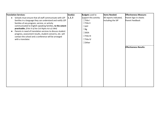| <b>Translation Services:</b>                                                                                                                                                                                                                                                                                                                                                                                                                                                                                       | Goal(s): | <b>Budgets</b> used to                                                                                                                                    | <b>Items Needed:</b>                        | <b>Effectiveness Measure:</b>                                             |
|--------------------------------------------------------------------------------------------------------------------------------------------------------------------------------------------------------------------------------------------------------------------------------------------------------------------------------------------------------------------------------------------------------------------------------------------------------------------------------------------------------------------|----------|-----------------------------------------------------------------------------------------------------------------------------------------------------------|---------------------------------------------|---------------------------------------------------------------------------|
| Schools must ensure that all staff communicate with LEP<br>$\bullet$<br>families in a language they can understand and notify LEP<br>families of any program, service, or activity<br>communicated to English-speaking families, to the extent<br>practicable. (Title VI of the Civil Rights Act of 1964)<br>Parents in need of translation services to discuss student<br>progress, assessment results, student concerns, etc. will<br>contact the school and a conference will be arranged<br>with a translator. | 1, 2, 3  | support this activity:<br>$\Box$ Title I<br>$\Box$ Title II<br>$\Box$ GFF<br>$\Box$ 8g<br>$\square$ IDEA<br>$\Box$ Title III<br>$\Box$ Title IV<br>□Other | All reports indicated,<br>including the SIP | Parent Sign-in sheets<br>Parent Feedback<br><b>Effectiveness Results:</b> |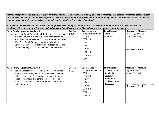Describe specific strategies/activities to assist parents and families in understanding such topics as the challenging State academic standards, State and local assessments, and how to monitor a child's progress. Also, describe activities that provide materials and training to help parents work with their children to *improve academic achievement. Include the month that the activity will take place if applicable.*

In compliance with LA Act 436, at least three meetings will be held during the school year to provide parents with information on how to access the  $\mid$  curriculum. This information will be provided during school Open House events, PTA meetings, and other parent orientation meetings.

| Parent Family Engagement Activity 1:<br>Meet and Greet/Orientation/Title One Meetings (August)<br>include: Annual Review of curriculum, State Standards,<br>School and State Assessments, Transportation, Before and<br>After Care, Family Student Handbook and Code of<br>Conduct (general school policies and procedures around<br>student learning such as the no homework policy, etc.). | Goal(s):<br> 1, 2, 3 | <b>Budgets</b> used to<br>support this activity:<br>$\Box$ Title I<br>$\Box$ Title II<br>$\Box$ GFF<br>$\Box$ 8g<br>$\Box$ IDEA<br>$\Box$ Title III<br>$\Box$ Title IV<br>$\Box$ Other | <b>Items Needed:</b><br>Slide show<br><b>Handouts</b>                                                                                                       | <b>Effectiveness Measure:</b><br>Parent Sign-in Sheets<br>Parent Feedback<br><b>Effectiveness Results:</b> |
|----------------------------------------------------------------------------------------------------------------------------------------------------------------------------------------------------------------------------------------------------------------------------------------------------------------------------------------------------------------------------------------------|----------------------|----------------------------------------------------------------------------------------------------------------------------------------------------------------------------------------|-------------------------------------------------------------------------------------------------------------------------------------------------------------|------------------------------------------------------------------------------------------------------------|
| Parent Family Engagement Activity 2:<br>Back to School Event (September)- Parents are invited to<br>meet with classroom teachers to experience how their<br>children learn in an ISL classroom and to receive more<br>specific information and other parent resources so<br>parents can be effective partners with teachers in their<br>child's learning.                                    | Goal(s):<br> 1, 2, 3 | <b>Budgets</b> used to<br>support this activity:<br>$\Box$ Title I<br>$\Box$ Title II<br>$\Box$ GFF<br>$\Box$ 8g<br>$\Box$ IDEA<br>$\Box$ Title III<br>$\Box$ Title IV<br>$\Box$ Other | <b>Items Needed:</b><br><b>Copies of State</b><br><b>Standards</b><br><b>Copies of</b><br><b>Assessments</b><br><b>Copies of Parent</b><br><b>Resources</b> | <b>Effectiveness Measure:</b><br>Sign-in Sheets<br>Parent Feedback<br><b>Effectiveness Results:</b>        |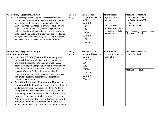| <b>Parent Family Engagement Activity 3:</b>                               | Goal(s): | <b>Budgets</b> used to                           | <b>Items Needed:</b>                               | <b>Effectiveness Measure:</b>                    |
|---------------------------------------------------------------------------|----------|--------------------------------------------------|----------------------------------------------------|--------------------------------------------------|
| Mid-Year capacity building activities for families with                   | 1, 2, 3  | support this activity:                           | Agendas and                                        | Parent Sign-in Sheet                             |
| content and varied times to meet the needs of different                   |          | $\blacksquare$ Title I                           | handouts                                           | Pre-Registration w/ISL                           |
| age groups, academic and developmental needs.                             |          | $\Box$ Title II                                  |                                                    | code                                             |
| Examples: Ages and stages - overview of developmental                     |          | $\Box$ GFF                                       | Email, website                                     | Parent Feedback                                  |
| stages of academic and social emotional growth in                         |          | $\Box$ 8g                                        | notifications; unique                              |                                                  |
| children; Eureka Math - what is it and how to help your                   |          | $\Box$ IDEA                                      | registration code for                              | <b>Effectiveness Results:</b>                    |
| child; Parenting a child with a learning disability; How to               |          | $\Box$ Title III                                 | <b>ISL</b> families                                |                                                  |
| help your child learn when they are learning in another                   |          |                                                  |                                                    |                                                  |
| language; Roots Connected family workshop series                          |          | $\Box$ Title IV                                  |                                                    |                                                  |
|                                                                           |          | $\Box$ Other                                     |                                                    |                                                  |
|                                                                           |          |                                                  |                                                    |                                                  |
|                                                                           |          |                                                  |                                                    |                                                  |
| <b>Parent Family Engagement Activity 4:</b>                               | Goal(s): | <b>Budgets</b> used to<br>support this activity: | <b>Items Needed:</b><br><b>Copies of Resources</b> | <b>Effectiveness Measure:</b><br>Parent Feedback |
| <b>Transition Activities:</b>                                             | 1, 2, 3  | $\Box$ Title I                                   | and Tidbits                                        |                                                  |
| 2nd to 3rd Grade (Dixon to Uptown)--Uptown<br>$\bullet$                   |          | $\Box$ Title II                                  |                                                    |                                                  |
| Campus 8th grade students visit the Dixon Campus                          |          |                                                  |                                                    |                                                  |
| and present information to the 2nd grade classes                          |          | $\Box$ GFF                                       |                                                    |                                                  |
| about the Uptown Campus and what they can expect                          |          | $\Box$ 8g                                        |                                                    |                                                  |
| when they make the transition to 3rd grade and the                        |          | $\Box$ IDEA                                      |                                                    | <b>Effectiveness Results:</b>                    |
| Uptown Campus. 2nd grade students visit the                               |          | $\Box$ Title III                                 |                                                    |                                                  |
| Uptown campus during International Week and visit                         |          | $\Box$ Title IV                                  |                                                    |                                                  |
| 3rd grade classroom presentations, parents are<br>invited to participate. |          | $\Box$ Other                                     |                                                    |                                                  |
| 5th to Middle School (Wesbank and Uptown to                               |          |                                                  |                                                    |                                                  |
| Uptown Middle School)--We host a day for 5th grade                        |          |                                                  |                                                    |                                                  |
| students from both campuses come to the Uptown                            |          |                                                  |                                                    |                                                  |
| Campus and experience a half day of their schedule                        |          |                                                  |                                                    |                                                  |
| where they move from class to class and learn more                        |          |                                                  |                                                    |                                                  |
| from their teachers about what they will be learning.                     |          |                                                  |                                                    |                                                  |
| Administration from the Uptown Campus meets with                          |          |                                                  |                                                    |                                                  |
| 5th Grade Parent on the Westbank and Uptown to                            |          |                                                  |                                                    |                                                  |
| address their specific needs about making the transition                  |          |                                                  |                                                    |                                                  |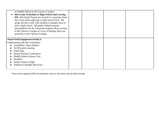| to Middle School at the Uptown Campus<br>8th Grade Transition to High School and Leaving<br><b>ISL--8th Grade Parents are invited to a meeting where</b><br>they learn about applying to high school (Oct). 8th<br>grade advisors work with students to prepare them to<br>pick a high school. 8th grade students prepare<br>presentations for the 2nd grade students about coming<br>to the Uptown Campus as a way of helping them say<br>good-bye to the Uptown Campus. |  |  |
|---------------------------------------------------------------------------------------------------------------------------------------------------------------------------------------------------------------------------------------------------------------------------------------------------------------------------------------------------------------------------------------------------------------------------------------------------------------------------|--|--|
| <b>Parent Family Engagement Activity 5:</b><br>Collaborating with the Community:<br>Assemblies, Open Studios<br>LEAP parent meeting<br>Field Trips<br>Parent/Teacher Conferences<br>Middle School Science Fair<br><b>Bookfair</b><br><b>Family Science Night</b><br><b>Fabulous Fortnight Showcase</b>                                                                                                                                                                    |  |  |

\*Due to the ongoing COVID-19 pandemic, some or all events may be held virtually.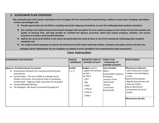# **3. SCHOOLWIDE PLAN STRATEGIES**

The schoolwide plan shall include a description of the strategies that the school will be implementing to address school needs, including a description **of how such strategies will:**

- Provide opportunities for all children, including each of the subgroups of students, to meet the challenging State academic standards
- Use methods and evidence-based instructional strategies that strengthen the core academic program in the school, increase the quantity and quality of learning time, and help provide an enriched and rigorous curriculum, which may include programs, activities, and courses *necessary to provide a well-rounded education;*
- Address the needs of all children in the school, but particularly the needs of those at risk of not meeting the challenging State academic *standards; and*
- Use evidence-based strategies to improve the achievement of the lowest-achieving students. (Include a description of how and when the

strategies will be implemented. Be sure strategies are aligned to areas identified in the comprehensive needs assessment.)

| <b>SCHOOLWIDE PLAN STRATEGY</b>                                                                                                                                                                                                                                                                                                                                          | <b>GOAL(S)</b><br><b>ADDRESSED</b> | <b>BUDGET(S) USED TO</b><br><b>SUPPORT ACTIVITY</b>                                                                                                                                                       | <b>ITEMS TO BE</b><br><b>PURCHASED TO</b><br><b>SUPPORT ACTIVITY:</b>                                                                                      | <b>EFFECTIVENESS</b>                                                                                                                                                                                                                                                     |
|--------------------------------------------------------------------------------------------------------------------------------------------------------------------------------------------------------------------------------------------------------------------------------------------------------------------------------------------------------------------------|------------------------------------|-----------------------------------------------------------------------------------------------------------------------------------------------------------------------------------------------------------|------------------------------------------------------------------------------------------------------------------------------------------------------------|--------------------------------------------------------------------------------------------------------------------------------------------------------------------------------------------------------------------------------------------------------------------------|
| Rigorous, Standards-Based Curriculum:<br>Achievement Network PD, Coaching and Benchmark<br>assessments<br>Social Studies - The use of LDOE to redesign Social<br>Studies Curriculum, Instructional Tasks in translation,<br>Eureka Math - Rigorous Math instruction for all grades<br><b>Focused Modeled Writing</b><br>PD Strategies: UDL Roots Connected PD grades K-5 | Goal(s):<br>1, 2, 3                | <b>Budgets</b> used to<br>support this activity:<br>$\blacksquare$ Title L<br>$\blacksquare$ Title II<br>$\Box$ GFF<br>$\Box$ 8g<br>$\square$ IDEA<br>$\Box$ Title III<br>$\Box$ Title IV<br>$\Box$ Other | <b>Items Needed:</b><br>ANet 2<br>Eureka Math materials<br>Translated<br>versions of the<br>l state Social<br><b>Studies</b><br>Curriculum.<br>School-wide | <b>IEffectiveness Measure:</b><br>LEAP Assessment results $-$<br>Indexes and subcategory<br>scores<br>Quarterly/final grades<br>Weekly Assessments and<br>daily exit tickets<br>Interim Benchmark<br>assessments for Social<br>studies.<br><b>Effectiveness Results:</b> |

# *Core Instruction*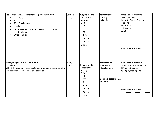| Use of Academic Assessments to Improve Instruction:                  | Goal(s): | <b>Budgets</b> used to | <b>Items Needed:</b>    | <b>Effectiveness Measure:</b> |
|----------------------------------------------------------------------|----------|------------------------|-------------------------|-------------------------------|
| <b>LEAP 2025</b>                                                     | 1, 2, 3  | support this           | <b>Testing</b>          | <b>Weekly Grades</b>          |
| <b>SLTs</b>                                                          |          | activity:              | <b>Materials</b>        | SemesterGrades/Progress       |
| <b>ANet Benchmarks</b>                                               |          | $\blacksquare$ Title I |                         | reports                       |
| iReady                                                               |          | $\Box$ Title II        |                         | <b>LEAP 2025</b>              |
| Unit Assessments and Exit Tickets in T/ELA, Math,                    |          | $\Box$ GFF             |                         | <b>SLT Results</b>            |
| and Social Studies                                                   |          | $\Box$ 8g              |                         | ANet                          |
| <b>Writing Rubrics</b><br>$\bullet$                                  |          | $\square$ IDEA         |                         |                               |
|                                                                      |          | $\Box$ Title III       |                         |                               |
|                                                                      |          | $\Box$ Title IV        |                         |                               |
|                                                                      |          | ■ Other                |                         |                               |
|                                                                      |          |                        |                         | <b>Effectiveness Results:</b> |
|                                                                      |          |                        |                         |                               |
|                                                                      |          |                        |                         |                               |
|                                                                      |          |                        |                         |                               |
| <b>Strategies Specific to Students with</b>                          | Goal(s): |                        | <b>Items Needed:</b>    | <b>Effectiveness Measure:</b> |
| <b>Disabilities:</b>                                                 | 1, 2, 3  | <b>Budgets</b> used to | Professional            | administrative observations   |
| UDL will be used by all teachers to create a more effective learning |          | support this           | Development             | IEP objectives met            |
| environment for students with disabilities.                          |          | activity:              |                         | SpEd progress reports         |
|                                                                      |          | $\Box$ Title I         |                         |                               |
|                                                                      |          | $\Box$ Title II        |                         |                               |
|                                                                      |          | $\Box$ GFF             | materials; assessments, |                               |
|                                                                      |          | $\Box$ 8g              | checklists              |                               |
|                                                                      |          | $\square$ IDEA         |                         |                               |
|                                                                      |          | $\Box$ Title III       |                         | <b>Effectiveness Results:</b> |
|                                                                      |          | $\Box$ Title IV        |                         |                               |
|                                                                      |          | $\Box$ Other           |                         |                               |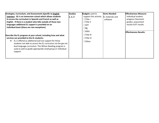| Strategies, Curriculum, and Assessments Specific to English                                                                                                                                                                                                  | Goal(s): | <b>Budgets</b> used to                  | <b>Items Needed:</b> | <b>Effectiveness Measure:</b> |
|--------------------------------------------------------------------------------------------------------------------------------------------------------------------------------------------------------------------------------------------------------------|----------|-----------------------------------------|----------------------|-------------------------------|
| Learners: ISL is an immersion school which allows students                                                                                                                                                                                                   | 1, 2, 3  | support this activity: EL materials and |                      | Individual student            |
| to access the curriculum in Spanish and French as well as                                                                                                                                                                                                    |          | $\Box$ Title I                          | software             | progress Classroom            |
| English. If there is a student who falls outside of those two                                                                                                                                                                                                |          | $\Box$ Title II                         |                      | grades; assessment            |
| languages additional EL support is provided on an                                                                                                                                                                                                            |          | $\Box$ GFF                              |                      | results ELPT results          |
| individual basis (these are rare exceptions)                                                                                                                                                                                                                 |          | $\Box$ 8g                               |                      |                               |
|                                                                                                                                                                                                                                                              |          | $\Box$ IDEA                             |                      | <b>Effectiveness Results:</b> |
| Describe the EL program at your school, including how and what                                                                                                                                                                                               |          | $\Box$ Title III                        |                      |                               |
| services are provided to the EL students:                                                                                                                                                                                                                    |          | $\Box$ Title IV                         |                      |                               |
| EL is offered as additional pull out support for those<br>students not able to access the EL curriculum via the gen ed<br>dual language curriculum. The Wilson Reading program is<br>used as well as grade appropriate small group or individual<br>support. |          | $\Box$ Other                            |                      |                               |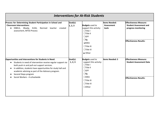| <b>Interventions for At-Risk Students</b>                                                                                                                                                                                                                                                                                                          |                      |                                                                                                                                                                                           |                                             |                                                                                                                        |  |
|----------------------------------------------------------------------------------------------------------------------------------------------------------------------------------------------------------------------------------------------------------------------------------------------------------------------------------------------------|----------------------|-------------------------------------------------------------------------------------------------------------------------------------------------------------------------------------------|---------------------------------------------|------------------------------------------------------------------------------------------------------------------------|--|
| Process for Determining Student Participation in School and<br><b>Classroom Interventions:</b><br>DIBELS, iReady, ELDA,<br>Normed teacher<br>created<br>$\bullet$<br>assessment, MTSS Process                                                                                                                                                      | Goal(s):<br> 1, 2, 3 | <b>Budgets</b> used to<br>support this activity:<br>$\Box$ Title I<br>$\Box$ Title II<br>$\Box$ GFF<br>$\Box$ 8g<br>$\square$ IDEA<br>$\Box$ Title III<br>$\Box$ Title IV<br>■ Other      | <b>Items Needed:</b><br>Assessment<br>tools | <b>Effectiveness Measure:</b><br><b>Student Assessment and</b><br>progress monitoring<br><b>Effectiveness Results:</b> |  |
| Opportunities and Interventions for Students in Need:<br>Students in need of intervention receive regular support via<br>both push-in and pull-out support services.<br>In addition, students have opportunities for study hall and<br>academic advising as part of the Advisory program.<br>Second Steps program<br>Social Workers - 4 schoolwide | Goal(s):<br>1, 2, 3  | <b>Budgets</b> used to<br>support this activity:<br>$\Box$ Title I<br>$\Box$ Title II<br>$\Box$ GFF<br>$\Box$ 8g<br>$\square$ IDEA<br>$\Box$ Title III<br>$\Box$ Title IV<br>$\Box$ Other | <b>Items Needed: S</b>                      | <b>Effectiveness Measure:</b><br><b>Student Assessment Data</b><br><b>Effectiveness Results:</b>                       |  |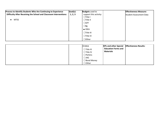| Process to Identify Students Who Are Continuing to Experience<br>Difficulty After Receiving the School and Classroom Interventions:<br><b>MTSS</b> | Goal(s):<br>1, 2, 3 | <b>Budgets</b> used to<br>support this activity:<br>$\Box$ Title I<br>$\Box$ Title II<br>$\Box$ GFF<br>$\Box$ 8g<br>$\blacksquare$ IDEA<br>$\Box$ Title III<br>$\Box$ Title IV<br>$\Box$ Other |                                                                                 | <b>Effectiveness Measure:</b><br>Student Assessment Data |
|----------------------------------------------------------------------------------------------------------------------------------------------------|---------------------|------------------------------------------------------------------------------------------------------------------------------------------------------------------------------------------------|---------------------------------------------------------------------------------|----------------------------------------------------------|
|                                                                                                                                                    |                     | ⊠IDEA<br>$\Box$ Title III<br>$\Box$ Title IV<br>$\Box$ Perkins<br>$\Box$ JAG<br>$\Box$ Bond Money<br>$\Box$ Other                                                                              | <b>IEPs and other Special</b><br><b>Education Forms and</b><br><b>Materials</b> | <b>Effectiveness Results:</b>                            |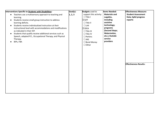| Interventions Specific to Students with Disabilities:                  | Goal(s): | <b>Budgets</b> used to | <b>Items Needed:</b> | <b>Effectiveness Measure:</b> |
|------------------------------------------------------------------------|----------|------------------------|----------------------|-------------------------------|
| Teachers use a multisensory approach to teaching and<br>$\bullet$      | 1, 2, 3  | support this activity: | <b>Materials and</b> | <b>Student Assessment</b>     |
| learning.                                                              |          | $\Box$ Title I         | supplies,            | Data; SpEd progress           |
| Students receive small group instruction to address<br>٠               |          | $\boxtimes$ GFF        | including            | reports                       |
| learning deficits.                                                     |          | $\Box$ Title II        | assistive            |                               |
| Students receive individualized instruction at their<br>$\bullet$      |          | $\Box$ LA4             | technology;          |                               |
| instructional level with accommodations and modifications              |          | ⊠IDEA                  | programs             |                               |
| as indicated in their IEP.                                             |          | $\Box$ Title III       | (Second Steps;       |                               |
| Students that qualify receive additional services such as<br>$\bullet$ |          | $\Box$ Title IV        | Watermelon,          |                               |
| Speech, adapted P.E., Occupational Therapy, and Physical               |          | $\Box$ Perkins         | etc.); Outside       |                               |
| Therapy.                                                               |          | $\Box$ JAG             | service              |                               |
| BIPs, FBA                                                              |          | $\Box$ Bond Money      | providers            |                               |
|                                                                        |          | $\Box$ Other           |                      |                               |
|                                                                        |          |                        |                      |                               |
|                                                                        |          |                        |                      |                               |
|                                                                        |          |                        |                      |                               |
|                                                                        |          |                        |                      |                               |
|                                                                        |          |                        |                      |                               |
|                                                                        |          |                        |                      |                               |
|                                                                        |          |                        |                      | <b>Effectiveness Results:</b> |
|                                                                        |          |                        |                      |                               |
|                                                                        |          |                        |                      |                               |
|                                                                        |          |                        |                      |                               |
|                                                                        |          |                        |                      |                               |
|                                                                        |          |                        |                      |                               |
|                                                                        |          |                        |                      |                               |
|                                                                        |          |                        |                      |                               |
|                                                                        |          |                        |                      |                               |
|                                                                        |          |                        |                      |                               |
|                                                                        |          |                        |                      |                               |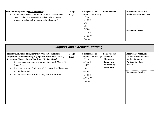| Interventions Specific to English Learners:               | Goal(s): | <b>BBudgets</b> used to | <b>Items Needed:</b> | <b>Effectiveness Measure:</b>  |
|-----------------------------------------------------------|----------|-------------------------|----------------------|--------------------------------|
| ELL students receive appropriate support as dictated by   | 1, 2, 3  | support this activity:  |                      | <b>Student Assessment Data</b> |
| their ELL plan. Students (either individually or in small |          | $\Box$ Title I          |                      |                                |
| groups are pulled out to receive tailored support).       |          | $\Box$ Title II         |                      |                                |
|                                                           |          | $\Box$ GFF              |                      |                                |
|                                                           |          | $\Box$ 8g               |                      |                                |
|                                                           |          | $\square$ IDEA          |                      | <b>Effectiveness Results:</b>  |
|                                                           |          | $\Box$ Title III        |                      |                                |
|                                                           |          | $\Box$ Title IV         |                      |                                |
|                                                           |          | $\Box$ Other            |                      |                                |

| <b>Support and Extended Learning</b>                                                                                                                                                                                                                                                                                                         |                      |                                                                                                                          |                                                                                                               |                                                                                                                            |  |
|----------------------------------------------------------------------------------------------------------------------------------------------------------------------------------------------------------------------------------------------------------------------------------------------------------------------------------------------|----------------------|--------------------------------------------------------------------------------------------------------------------------|---------------------------------------------------------------------------------------------------------------|----------------------------------------------------------------------------------------------------------------------------|--|
| Support Structures and Programs that Provide Collaborative<br>Support for Student Learning (e.g. Speech, Enrichment Classes,<br>Accelerated Classes, Kids-In-Transition, P.E., Art, Music):<br>ISL has a deep enrichment program: library, Art, Music, PE,<br>Circus Arts.<br>The school employs 3 full time SLT, 3 nurses, 5 SpEd teachers, | Goal(s):<br> 1, 2, 3 | <b>Budgets</b> used to<br>support this activity:<br>$\Box$ Title I<br>$\blacksquare$ Title II<br>$\Box$ GFF<br>$\Box$ 8g | lltems Needed:<br><b>Teachers</b><br><b>Therapists</b><br>Parent and<br><b>Community</b><br><b>Volunteers</b> | <b>Effectiveness Measure:</b><br><b>Student Assessment Data</b><br><b>Student Program</b><br>Participation Data<br>Rosters |  |
| and 4 fulltime SWs<br>Partner Milestones, KidsmArt, TLC, and SpEducation                                                                                                                                                                                                                                                                     |                      | $\blacksquare$ IDEA<br>$\Box$ Title III<br>$\blacksquare$ Title IV<br>$\Box$ Other                                       |                                                                                                               | <b>Effectiveness Results:</b>                                                                                              |  |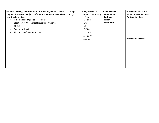| <b>Extended Learning Opportunities within and beyond the School</b>            | Goal(s): | <b>Budgets</b> used to  | <b>Items Needed:</b> | <b>Effectiveness Measure:</b>  |
|--------------------------------------------------------------------------------|----------|-------------------------|----------------------|--------------------------------|
| Day and the School Year (e.g. 21 <sup>st</sup> Century, before or after school | 1, 2, 3  | support this activity:  | <b>Community</b>     | <b>Student Assessment Data</b> |
| tutoring, field trips):                                                        |          | $\Box$ Title I          | <b>Partners</b>      | Participation Data             |
| In-house Field Trips tied to content<br>$\bullet$                              |          | $\Box$ Title II         | Parent               |                                |
| 21st Century After School Program partnership<br>٠                             |          | $\Box$ GFF              | <b>Volunteers</b>    |                                |
| T.R.E.E.<br>$\bullet$                                                          |          | $\Box$ 8g               |                      |                                |
| Goat in the Road                                                               |          | $\square$ IDEA          |                      |                                |
| ADL (Anti-Defamation League)                                                   |          | $\Box$ Title III        |                      |                                |
|                                                                                |          | $\blacksquare$ Title IV |                      |                                |
|                                                                                |          | ■ Other                 |                      | <b>Effectiveness Results:</b>  |
|                                                                                |          |                         |                      |                                |
|                                                                                |          |                         |                      |                                |
|                                                                                |          |                         |                      |                                |
|                                                                                |          |                         |                      |                                |
|                                                                                |          |                         |                      |                                |
|                                                                                |          |                         |                      |                                |
|                                                                                |          |                         |                      |                                |
|                                                                                |          |                         |                      |                                |
|                                                                                |          |                         |                      |                                |
|                                                                                |          |                         |                      |                                |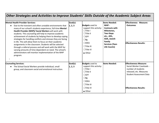# *Other Strategies and Activities to Improve Students' Skills Outside of the Academic Subject Areas*

| <b>Mental Health Provider Services:</b>                                                                                                                                                                                                                                                                                                                                                                                                                                                                                                                                                                                                                                                       | Goal(s): |                                                                                                                                                                                      | <b>Items Needed:</b>                                                                                                                             | <b>Effectiveness Measure:</b>                                                                                                                 |
|-----------------------------------------------------------------------------------------------------------------------------------------------------------------------------------------------------------------------------------------------------------------------------------------------------------------------------------------------------------------------------------------------------------------------------------------------------------------------------------------------------------------------------------------------------------------------------------------------------------------------------------------------------------------------------------------------|----------|--------------------------------------------------------------------------------------------------------------------------------------------------------------------------------------|--------------------------------------------------------------------------------------------------------------------------------------------------|-----------------------------------------------------------------------------------------------------------------------------------------------|
| Due to the transient and often unstable environments that<br>many of our school's students experience, full-time Mental<br>Health Provider (MHP)/ Social Workers will work with<br>students. This counseling will help to improve academic<br>achievement of students by helping them to develop coping<br>strategies for handling conflicts and stresses they are facing<br>in life. This will allow them to focus on their academic<br>assignments in the classroom. Students will be selected<br>through a referral process and will work with the MHP for<br>varying amounts of time dependent on need. The school's<br>administrators will monitor implementation of the MHP<br>program. | 1, 2, 3  | <b>Budgets</b> used to<br>support this activity:<br>$\Box$ Title I<br>$\Box$ Title II<br>$\Box$ GFF<br>$\Box$ 8g<br>$\square$ IDEA<br>$\Box$ Title III<br>$\Box$ Title IV<br>■ Other | MHP-<br><b>Contracts with</b><br>Milestones,<br><b>Two-Steps</b><br>etc., ADL,<br>ADA, Jewish<br>Family<br><b>Services (Teen</b><br>Life Counts) | <b>Outcomes</b><br><b>Effectiveness Results:</b>                                                                                              |
| <b>Counseling Services:</b>                                                                                                                                                                                                                                                                                                                                                                                                                                                                                                                                                                                                                                                                   | Goal(s): | <b>Budgets</b> used to                                                                                                                                                               | <b>Items Needed:</b>                                                                                                                             | <b>Effectiveness Measure:</b>                                                                                                                 |
| The School Social Workers provide individual, small<br>group, and classroom social and emotional instruction.                                                                                                                                                                                                                                                                                                                                                                                                                                                                                                                                                                                 | 1, 2, 3  | support this activity:<br>$\Box$ Title I<br>$\Box$ Title II<br>$\Box$ GFF<br>$\Box$ 8g<br>$\square$ IDEA<br>$\Box$ Title III<br>$\Box$ Title IV<br>■ Other                           |                                                                                                                                                  | Social Worker Caseloads -<br>number of students<br>released, etc. Measures<br><b>Student Assessment Data</b><br><b>Effectiveness Results:</b> |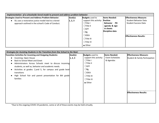| Implementation of a schoolwide tiered model to prevent and address problem behavior: |                  |                                        |                      |                               |  |
|--------------------------------------------------------------------------------------|------------------|----------------------------------------|----------------------|-------------------------------|--|
| <b>Strategies Used to Prevent and Address Problem Behavior:</b>                      | $\vert$ Goal(s): | <b>Budgets</b> used to                 | <b>Items Needed:</b> | <b>Effectiveness Measure:</b> |  |
| ISL uses a restorative justice model tied to a tiered                                | 1, 2, 3          | support this activity: <b>Positive</b> |                      | <b>Student Behavior Data</b>  |  |
| approach outlined in the school's Code of Conduct.                                   |                  | $\Box$ Title I                         | <b>Behavior PD</b>   | <b>Student Success Data</b>   |  |
|                                                                                      |                  | $\Box$ Title II                        | agenda & sign        |                               |  |
|                                                                                      |                  | $\Box$ GFF                             | in sheets            |                               |  |
|                                                                                      |                  | $\Box$ 8g                              | Discipline data      |                               |  |
|                                                                                      |                  | $\square$ IDEA                         |                      | <b>Effectiveness Results:</b> |  |
|                                                                                      |                  | $\Box$ Title III                       |                      |                               |  |
|                                                                                      |                  | $\Box$ Title IV                        |                      |                               |  |
|                                                                                      |                  | ■ Other                                |                      |                               |  |

| Strategies for Assisting Students in the Transition from One School to the Next: |                  |                        |                      |                                |  |
|----------------------------------------------------------------------------------|------------------|------------------------|----------------------|--------------------------------|--|
| Transition Activities for Incoming and Outgoing Students:                        | $\vert$ Goal(s): | <b>Budgets</b> used to | <b>Items Needed:</b> | <b>Effectiveness Measure:</b>  |  |
| Incoming-Open House                                                              | 1, 2, 3          | support this activity: | Event Schedules      | Student & Family Participation |  |
| Back to School Meet and Greet                                                    |                  | $\Box$ Title I         | & Agendas            |                                |  |
| Administrators Across Schools meet to discuss incoming                           |                  | $\Box$ Title II        |                      |                                |  |
| students, as well as, behavior and academic needs.                               |                  | $\Box$ GFF             |                      |                                |  |
| Activities at grades: 2, and 5, for campus and grade level                       |                  | $\Box$ 8g              |                      |                                |  |
| transitions                                                                      |                  | $\square$ IDEA         |                      |                                |  |
| High School Fair and parent presentation for 8th grade                           |                  | $\Box$ Title III       |                      |                                |  |
| families                                                                         |                  | $\Box$ Title IV        |                      |                                |  |
|                                                                                  |                  | ■ Other                |                      |                                |  |
|                                                                                  |                  |                        |                      |                                |  |
|                                                                                  |                  |                        |                      |                                |  |
|                                                                                  |                  |                        |                      | <b>Effectiveness Results:</b>  |  |
|                                                                                  |                  |                        |                      |                                |  |
|                                                                                  |                  |                        |                      |                                |  |
|                                                                                  |                  |                        |                      |                                |  |

\*Due to the ongoing COVID-19 pandemic, some or all of these events may be held virtually.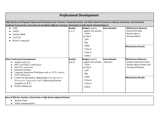# *Professional Development*

High Quality and Ongoing Professional Development for Teachers, Paraprofessionals, and Other School Personnel to Improve Instruction, Use Data from *Academic Assessments, and to Recruit and Retain Effective Teachers, Particularly in High-Needs Schools/Subjects:*

| <b>UDL</b><br><b>ANET</b><br>Eureka Math<br>LACUE<br><b>Roots Connected</b>                                                                                                                                                                                                                                                                                                | Goal(s):<br>1, 2, 3  | <b>Budgets</b> used to<br>support this activity:<br>$\Box$ Title I<br>$\blacksquare$ Title II<br>$\Box$ GFF<br>$\Box$ 8g<br>$\square$ IDEA<br>$\Box$ Title III<br>$\Box$ Title IV<br>$\Box$ Other | <b>Items Needed:</b>             | <b>Effectiveness Measure:</b><br>Assessment Data,<br>Teacher Sign-in<br>Documentation<br><b>Effectiveness Results:</b>                                         |
|----------------------------------------------------------------------------------------------------------------------------------------------------------------------------------------------------------------------------------------------------------------------------------------------------------------------------------------------------------------------------|----------------------|---------------------------------------------------------------------------------------------------------------------------------------------------------------------------------------------------|----------------------------------|----------------------------------------------------------------------------------------------------------------------------------------------------------------|
| <b>Other Professional Development:</b><br>Handle with Care<br>DELF and DELE certification<br>State P.E. conference<br><b>Standards Institute</b><br>Language Immersion Workshops such as ACPI congress<br>Orff Certification<br>Center for Restorative Approaches-Introduction to<br>Restorative Approaches and Addressing Racism<br>Together (A.R.T)<br>Positive Behavior | Goal(s):<br> 1, 2, 3 | <b>Budgets</b> used to<br>support this activity:<br>$\Box$ Title I<br>$\blacksquare$ Title II<br>$\Box$ GFF<br>$\Box$ 8g<br>$\Box$ IDEA<br>$\Box$ Title III<br>$\Box$ Title IV<br>$\Box$ Other    | <b>Items Needed:</b><br>Resource | <b>Effectiveness Measure:</b><br><b>Student Assessment Data</b><br>Teacher Sign-in Sheets and<br><b>Training Certificates</b><br><b>Effectiveness Results:</b> |

**Recruit Effective Teachers, Particularly in High Needs Subjects/Schools:**

- Teacher Praxis
- Tuition reimbursement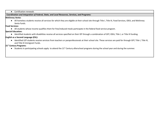● Certification renewals

*CCoordination and Integration of Federal, State, and Local Resources, Services, and Programs:*

### **McKinney Vento:**

● All homeless students receive all services for which they are eligible at their school site through Title I, Title III, Food Services, IDEA, and McKinney Vento funds.

### **Food Services:**

● All students whose income qualifies them for free/reduced meals participate in the federal food service program.

### **Special Education:**

● Identified students with disabilities receive all services specified on their IEP through a combination of GFF, IDEA, Title I, or Title III funding.

# **English as a Second Language (ESL):**

● Identified LEP students receive services from teachers or paraprofessionals at their school site. These services are paid for through GFF, Title I, Title III, and Title III Immigrant Funds.

# **21 st Century Programs:**

● Students in participating schools apply to attend the 21<sup>st</sup> Century afterschool programs during the school year and during the summer.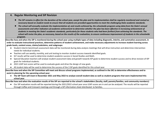# **4. Regular Monitoring and SIP Revision**

- The SIP remains in effect for the duration of the school year, except the plan and its implementation shall be regularly monitored and revised as necessary based on student needs to ensure that all students are provided opportunities to meet the challenging State academic standards.
- The school will annually evaluate the implementation of, and results achieved by, the schoolwide program using data from the State's annual assessments and other indicators of academic achievement to determine whether the plan has been effective in increasing achievement of students in meeting the State's academic standards, particularly for those students who had been furthest from achieving the standards. The school will revise the plan, as necessary, based on the results of the evaluation, to ensure continuous improvement of students in the schoolwide *program.*

Describe how and when the SIP is monitored during the school year using multiple types of data including diagnostic, interim, and summative assessment, in order to evaluate instructional practices, determine patterns of student achievement, and make necessary adjustments to increase student learning across **grade levels, content areas, claims/subclaims, and subgroups:**

- Student interim benchmark assessment data will be monitored during data analysis meetings that will drive instruction and determine intervention needs for individual students.
- Teachers will use weekly, monthly, and unit testing to monitor student success towards identified goals.
- SLT results will be used to determine student academic success in Social Studies and Math.
- Special Education teachers will analyze student assessment data and growth towards IEP goals to determine student success and to drive revision of IEP goals for individual students.
- 2021 LEAP test scores will be used to evaluate goals and drive the design of new goals.
- All student data will be used to determine the success of the 3 SIP goals identified for this school year.

Describe how and when the SIP Committee will meet and discuss school programs implemented, as outlined in the SIP, to determine effectiveness and to **assist in planning for the upcoming school year:**

• The SIP Team will meet in November 2021 and May 2022 to analyze overall student data as well as student programs that were implemented this **school year.**

Describe how and when the evaluation results of the SIP are reported to the school's stakeholders (faculty, staff, parents/families, and community members):

● Our SIP evaluation results will be reported during the 2021/2022 school year once LEAP scores are in and can be analyzed. The results will be reported through Coffee and Croissant meetings and through a SIP information sheet distributed to families.